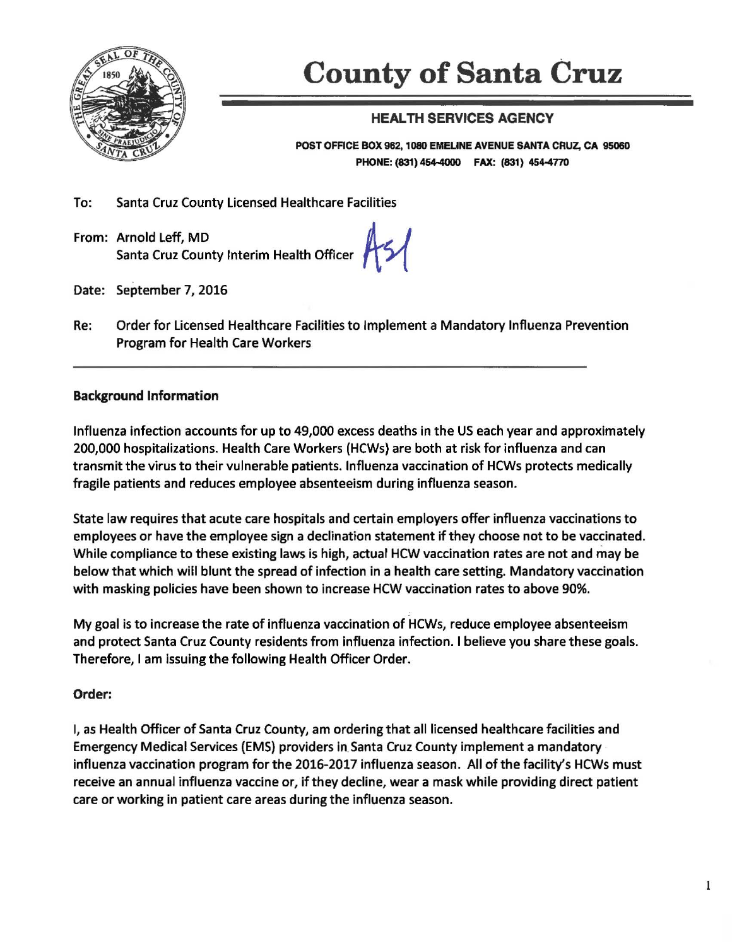

# **County of Santa** Cruz

# HEALTH SERVICES AGENCY

POST OFFICE BOX 962, 1080 EMEUNE AVENUE SANTA CRUZ, CA 95060 PHONE: (831) 454-4000 FAX: (831) 454-4770

To: Santa Cruz County Licensed Healthcare Facilities

From: Arnold Left, MD Santa Cruz County Interim Health Officer

 $As1$ 

- Date: September 7, 2016
- Re: Order for Licensed Health care Facilities to Implement a Mandatory Influenza Prevention Program for Health Care Workers

# Background Information

Influenza infection accounts for up to 49,000 excess deaths in the US each year and approximately 200,000 hospitalizations. Health Care Workers (HCWs) are both at risk for influenza and can transmit the virus to their vulnerable patients. Influenza vaccination of HCWs protects medically fragile patients and reduces employee absenteeism during influenza season.

State law requires that acute care hospitals and certain employers offer influenza vaccinations to employees or have the employee sign a declination statement if they choose not to be vaccinated. While compliance to these existing laws is high, actual HCW vaccination rates are not and may be below that which will blunt the spread of infection in a health care setting. Mandatory vaccination with masking policies have been shown to increase HCW vaccination rates to above 90%.

My goal is to increase the rate of influenza vaccination of HCWs, reduce employee absenteeism and protect Santa Cruz County residents from influenza infection. I believe you share these goals. Therefore, I am issuing the following Health Officer Order.

# Order:

I, as Health Officer of Santa Cruz County, am ordering that all licensed healthcare facilities and Emergency Medical Services (EMS) providers in. Santa Cruz County implement a mandatory · influenza vaccination program for the 2016-2017 influenza season. All of the facility's HCWs must receive an annual influenza vaccine or, if they decline, wear a mask while providing direct patient care or working in patient care areas during the influenza season.